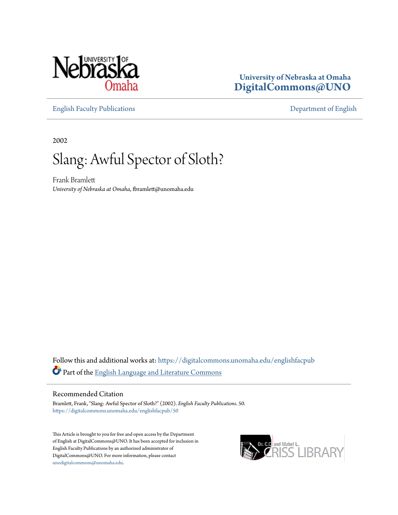

### **University of Nebraska at Omaha [DigitalCommons@UNO](https://digitalcommons.unomaha.edu?utm_source=digitalcommons.unomaha.edu%2Fenglishfacpub%2F50&utm_medium=PDF&utm_campaign=PDFCoverPages)**

[English Faculty Publications](https://digitalcommons.unomaha.edu/englishfacpub?utm_source=digitalcommons.unomaha.edu%2Fenglishfacpub%2F50&utm_medium=PDF&utm_campaign=PDFCoverPages) [Department of English](https://digitalcommons.unomaha.edu/english?utm_source=digitalcommons.unomaha.edu%2Fenglishfacpub%2F50&utm_medium=PDF&utm_campaign=PDFCoverPages)

2002

### Slang: Awful Spector of Sloth?

Frank Bramlett *University of Nebraska at Omaha*, fbramlett@unomaha.edu

Follow this and additional works at: [https://digitalcommons.unomaha.edu/englishfacpub](https://digitalcommons.unomaha.edu/englishfacpub?utm_source=digitalcommons.unomaha.edu%2Fenglishfacpub%2F50&utm_medium=PDF&utm_campaign=PDFCoverPages) Part of the [English Language and Literature Commons](http://network.bepress.com/hgg/discipline/455?utm_source=digitalcommons.unomaha.edu%2Fenglishfacpub%2F50&utm_medium=PDF&utm_campaign=PDFCoverPages)

#### Recommended Citation

Bramlett, Frank, "Slang: Awful Spector of Sloth?" (2002). *English Faculty Publications*. 50. [https://digitalcommons.unomaha.edu/englishfacpub/50](https://digitalcommons.unomaha.edu/englishfacpub/50?utm_source=digitalcommons.unomaha.edu%2Fenglishfacpub%2F50&utm_medium=PDF&utm_campaign=PDFCoverPages)

This Article is brought to you for free and open access by the Department of English at DigitalCommons@UNO. It has been accepted for inclusion in English Faculty Publications by an authorized administrator of DigitalCommons@UNO. For more information, please contact [unodigitalcommons@unomaha.edu](mailto:unodigitalcommons@unomaha.edu).